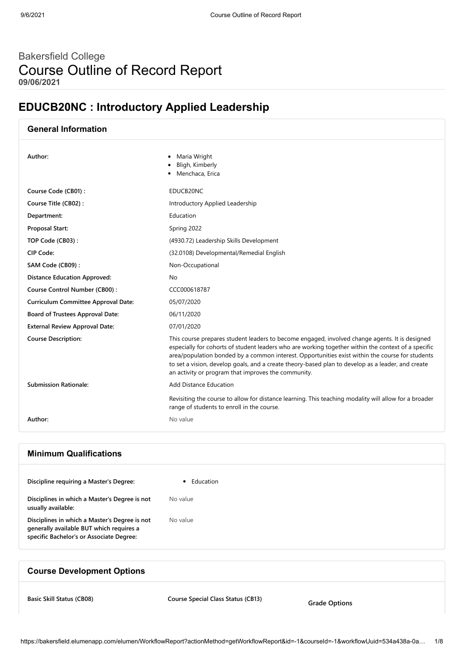# Bakersfield College Course Outline of Record Report **09/06/2021**

# **EDUCB20NC : Introductory Applied Leadership**

| <b>General Information</b>                 |                                                                                                                                                                                                                                                                                                                                                                                                                                                                      |
|--------------------------------------------|----------------------------------------------------------------------------------------------------------------------------------------------------------------------------------------------------------------------------------------------------------------------------------------------------------------------------------------------------------------------------------------------------------------------------------------------------------------------|
| Author:                                    | Maria Wright<br>Bligh, Kimberly<br>Menchaca, Erica                                                                                                                                                                                                                                                                                                                                                                                                                   |
| Course Code (CB01):                        | EDUCB20NC                                                                                                                                                                                                                                                                                                                                                                                                                                                            |
| Course Title (CB02):                       | Introductory Applied Leadership                                                                                                                                                                                                                                                                                                                                                                                                                                      |
| Department:                                | Education                                                                                                                                                                                                                                                                                                                                                                                                                                                            |
| <b>Proposal Start:</b>                     | Spring 2022                                                                                                                                                                                                                                                                                                                                                                                                                                                          |
| TOP Code (CB03):                           | (4930.72) Leadership Skills Development                                                                                                                                                                                                                                                                                                                                                                                                                              |
| CIP Code:                                  | (32.0108) Developmental/Remedial English                                                                                                                                                                                                                                                                                                                                                                                                                             |
| SAM Code (CB09):                           | Non-Occupational                                                                                                                                                                                                                                                                                                                                                                                                                                                     |
| <b>Distance Education Approved:</b>        | No                                                                                                                                                                                                                                                                                                                                                                                                                                                                   |
| Course Control Number (CB00):              | CCC000618787                                                                                                                                                                                                                                                                                                                                                                                                                                                         |
| <b>Curriculum Committee Approval Date:</b> | 05/07/2020                                                                                                                                                                                                                                                                                                                                                                                                                                                           |
| Board of Trustees Approval Date:           | 06/11/2020                                                                                                                                                                                                                                                                                                                                                                                                                                                           |
| <b>External Review Approval Date:</b>      | 07/01/2020                                                                                                                                                                                                                                                                                                                                                                                                                                                           |
| <b>Course Description:</b>                 | This course prepares student leaders to become engaged, involved change agents. It is designed<br>especially for cohorts of student leaders who are working together within the context of a specific<br>area/population bonded by a common interest. Opportunities exist within the course for students<br>to set a vision, develop goals, and a create theory-based plan to develop as a leader, and create<br>an activity or program that improves the community. |
| <b>Submission Rationale:</b>               | <b>Add Distance Education</b>                                                                                                                                                                                                                                                                                                                                                                                                                                        |
|                                            | Revisiting the course to allow for distance learning. This teaching modality will allow for a broader<br>range of students to enroll in the course.                                                                                                                                                                                                                                                                                                                  |
| Author:                                    | No value                                                                                                                                                                                                                                                                                                                                                                                                                                                             |
|                                            |                                                                                                                                                                                                                                                                                                                                                                                                                                                                      |
|                                            |                                                                                                                                                                                                                                                                                                                                                                                                                                                                      |

## **Minimum Qualifications**

## **Course Development Options**

**Basic Skill Status (CB08) Course Special Class Status (CB13)**

**Grade Options**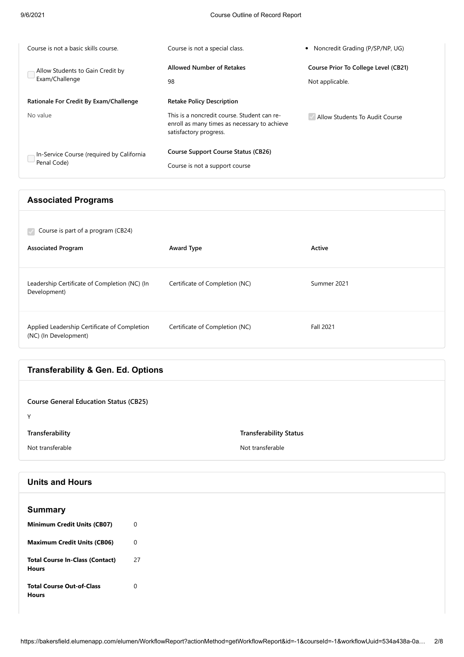| Course is not a basic skills course.                     | Course is not a special class.                                                                                        | • Noncredit Grading (P/SP/NP, UG)                       |
|----------------------------------------------------------|-----------------------------------------------------------------------------------------------------------------------|---------------------------------------------------------|
| Allow Students to Gain Credit by<br>Exam/Challenge       | <b>Allowed Number of Retakes</b><br>98                                                                                | Course Prior To College Level (CB21)<br>Not applicable. |
| Rationale For Credit By Exam/Challenge                   | <b>Retake Policy Description</b>                                                                                      |                                                         |
| No value                                                 | This is a noncredit course. Student can re-<br>enroll as many times as necessary to achieve<br>satisfactory progress. | Allow Students To Audit Course                          |
| In-Service Course (required by California<br>Penal Code) | <b>Course Support Course Status (CB26)</b><br>Course is not a support course                                          |                                                         |
|                                                          |                                                                                                                       |                                                         |

# **Associated Programs**

| Course is part of a program (CB24)<br>k.                              |                                |                  |
|-----------------------------------------------------------------------|--------------------------------|------------------|
| <b>Associated Program</b>                                             | <b>Award Type</b>              | Active           |
| Leadership Certificate of Completion (NC) (In<br>Development)         | Certificate of Completion (NC) | Summer 2021      |
| Applied Leadership Certificate of Completion<br>(NC) (In Development) | Certificate of Completion (NC) | <b>Fall 2021</b> |

# **Transferability & Gen. Ed. Options**

| <b>Course General Education Status (CB25)</b><br>$\checkmark$ |                                                   |
|---------------------------------------------------------------|---------------------------------------------------|
| Transferability<br>Not transferable                           | <b>Transferability Status</b><br>Not transferable |
|                                                               |                                                   |

# **Units and Hours**

| <b>Summary</b>                                         |             |
|--------------------------------------------------------|-------------|
| <b>Minimum Credit Units (CB07)</b>                     | $\mathbf 0$ |
| <b>Maximum Credit Units (CB06)</b>                     | $\mathbf 0$ |
|                                                        |             |
| <b>Total Course In-Class (Contact)</b><br><b>Hours</b> | 27          |
|                                                        |             |
| <b>Total Course Out-of-Class</b>                       | $\mathbf 0$ |
| <b>Hours</b>                                           |             |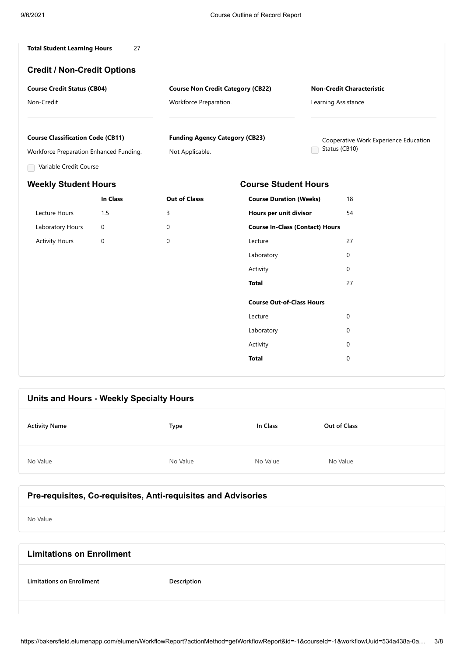| <b>Total Student Learning Hours</b> |  |
|-------------------------------------|--|
|-------------------------------------|--|

### **Credit / Non-Credit Options**

| <b>Course Credit Status (CB04)</b> | <b>Course Non Credit Category (CB22)</b> | <b>Non-Credit Characteristic</b> |
|------------------------------------|------------------------------------------|----------------------------------|
| Non-Credit                         | Workforce Preparation.                   | Learning Assistance              |

#### **Course Classification Code (CB11)**

Workforce Preparation Enhanced Funding.

Variable Credit Course

# **In Class Out of Classs** Lecture Hours 1.5 3 Laboratory Hours 0 0 Activity Hours 0 0

**Funding Agency Category (CB23)**

Not Applicable.

Cooperative Work Experience Education Status (CB10)

# **Weekly Student Hours Course Student Hours**

| <b>Course Duration (Weeks)</b>         | 18 |
|----------------------------------------|----|
| Hours per unit divisor                 |    |
| <b>Course In-Class (Contact) Hours</b> |    |
| Lecture                                | 27 |
| Laboratory                             | 0  |
| Activity                               | 0  |
| Total                                  | 27 |
| <b>Course Out-of-Class Hours</b>       |    |
| Lecture                                | 0  |
| Laboratory                             | 0  |
| Activity                               | 0  |
| Total                                  | 0  |
|                                        |    |

# **Units and Hours - Weekly Specialty Hours Activity Name Type In Class Out of Class** No Value No Value No Value No Value No Value No Value No Value No Value No Value

## **Pre-requisites, Co-requisites, Anti-requisites and Advisories**

No Value

| <b>Limitations on Enrollment</b> |             |
|----------------------------------|-------------|
| <b>Limitations on Enrollment</b> | Description |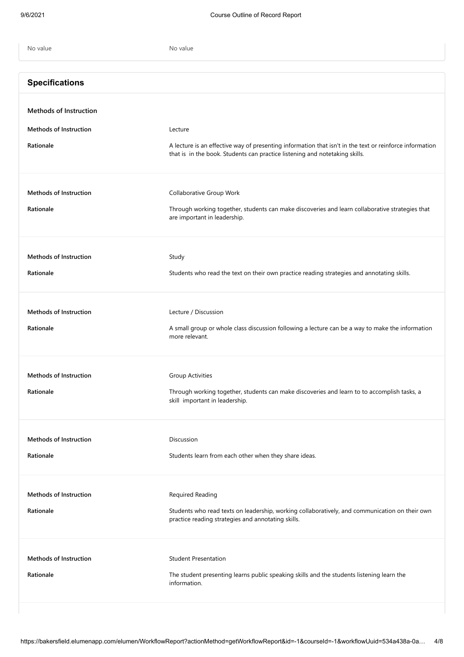| No value                                   | No value                                                                                                                                                                               |
|--------------------------------------------|----------------------------------------------------------------------------------------------------------------------------------------------------------------------------------------|
| <b>Specifications</b>                      |                                                                                                                                                                                        |
| <b>Methods of Instruction</b>              |                                                                                                                                                                                        |
| <b>Methods of Instruction</b>              | Lecture                                                                                                                                                                                |
| Rationale                                  | A lecture is an effective way of presenting information that isn't in the text or reinforce information<br>that is in the book. Students can practice listening and notetaking skills. |
| <b>Methods of Instruction</b><br>Rationale | Collaborative Group Work                                                                                                                                                               |
|                                            | Through working together, students can make discoveries and learn collaborative strategies that<br>are important in leadership.                                                        |
| <b>Methods of Instruction</b>              | Study                                                                                                                                                                                  |
| Rationale                                  | Students who read the text on their own practice reading strategies and annotating skills.                                                                                             |
| <b>Methods of Instruction</b>              | Lecture / Discussion                                                                                                                                                                   |
| Rationale                                  | A small group or whole class discussion following a lecture can be a way to make the information<br>more relevant.                                                                     |
| <b>Methods of Instruction</b>              | <b>Group Activities</b>                                                                                                                                                                |
| Rationale                                  | Through working together, students can make discoveries and learn to to accomplish tasks, a<br>skill important in leadership.                                                          |
| <b>Methods of Instruction</b>              | Discussion                                                                                                                                                                             |
| Rationale                                  | Students learn from each other when they share ideas.                                                                                                                                  |
| <b>Methods of Instruction</b>              | Required Reading                                                                                                                                                                       |
| Rationale                                  | Students who read texts on leadership, working collaboratively, and communication on their own<br>practice reading strategies and annotating skills.                                   |
| <b>Methods of Instruction</b>              | <b>Student Presentation</b>                                                                                                                                                            |
| Rationale                                  | The student presenting learns public speaking skills and the students listening learn the<br>information.                                                                              |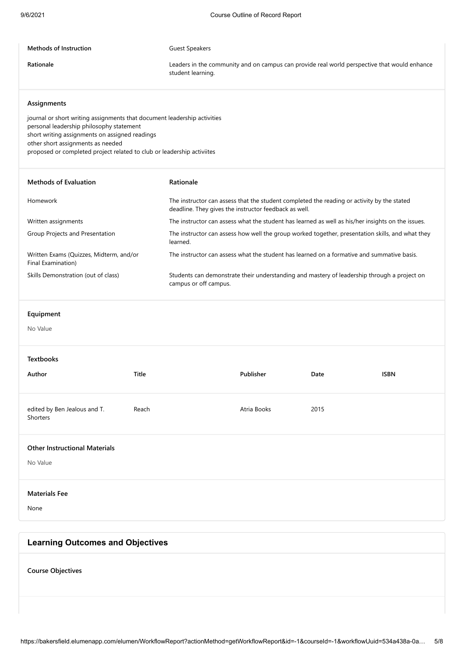#### **Methods of Instruction** Guest Speakers

**Rationale** Leaders in the community and on campus can provide real world perspective that would enhance student learning.

#### **Assignments**

journal or short writing assignments that document leadership activities personal leadership philosophy statement short writing assignments on assigned readings other short assignments as needed proposed or completed project related to club or leadership activiites

| <b>Methods of Evaluation</b>                                  | Rationale                                                                                                                                           |
|---------------------------------------------------------------|-----------------------------------------------------------------------------------------------------------------------------------------------------|
| Homework                                                      | The instructor can assess that the student completed the reading or activity by the stated<br>deadline. They gives the instructor feedback as well. |
| Written assignments                                           | The instructor can assess what the student has learned as well as his/her insights on the issues.                                                   |
| Group Projects and Presentation                               | The instructor can assess how well the group worked together, presentation skills, and what they<br>learned.                                        |
| Written Exams (Quizzes, Midterm, and/or<br>Final Examination) | The instructor can assess what the student has learned on a formative and summative basis.                                                          |
| Skills Demonstration (out of class)                           | Students can demonstrate their understanding and mastery of leadership through a project on<br>campus or off campus.                                |

#### **Equipment**

No Value

| <b>Textbooks</b><br>Author                       | Title | Publisher   | Date | <b>ISBN</b> |
|--------------------------------------------------|-------|-------------|------|-------------|
| edited by Ben Jealous and T.<br>Shorters         | Reach | Atria Books | 2015 |             |
| <b>Other Instructional Materials</b><br>No Value |       |             |      |             |

## **Materials Fee**

None

### **Learning Outcomes and Objectives**

**Course Objectives**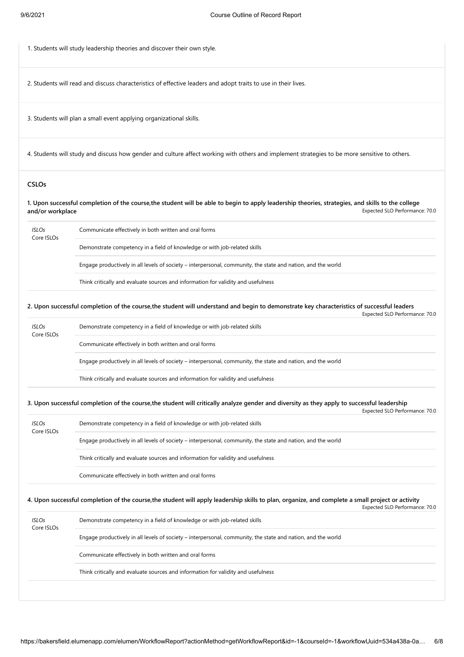1. Students will study leadership theories and discover their own style.

2. Students will read and discuss characteristics of effective leaders and adopt traits to use in their lives.

3. Students will plan a small event applying organizational skills.

4. Students will study and discuss how gender and culture affect working with others and implement strategies to be more sensitive to others.

#### **CSLOs**

Expected SLO Performance: 70.0 **1. Upon successful completion of the course,the student will be able to begin to apply leadership theories, strategies, and skills to the college and/or workplace**

| <b>ISLOs</b><br>Core ISLOs | Communicate effectively in both written and oral forms                                                       |  |
|----------------------------|--------------------------------------------------------------------------------------------------------------|--|
|                            | Demonstrate competency in a field of knowledge or with job-related skills                                    |  |
|                            | Engage productively in all levels of society – interpersonal, community, the state and nation, and the world |  |
|                            | Think critically and evaluate sources and information for validity and usefulness                            |  |

**2. Upon successful completion of the course,the student will understand and begin to demonstrate key characteristics of successful leaders**

|                            |                                                                                                              | Expected SLO Performance: 70.0 |
|----------------------------|--------------------------------------------------------------------------------------------------------------|--------------------------------|
| <b>ISLOs</b><br>Core ISLOs | Demonstrate competency in a field of knowledge or with job-related skills                                    |                                |
|                            | Communicate effectively in both written and oral forms                                                       |                                |
|                            | Engage productively in all levels of society – interpersonal, community, the state and nation, and the world |                                |
|                            | Think critically and evaluate sources and information for validity and usefulness                            |                                |

#### Expected SLO Performance: 70.0 **3. Upon successful completion of the course,the student will critically analyze gender and diversity as they apply to successful leadership**

| Core ISLOs |                                                                                                              |
|------------|--------------------------------------------------------------------------------------------------------------|
|            | Engage productively in all levels of society – interpersonal, community, the state and nation, and the world |
|            | Think critically and evaluate sources and information for validity and usefulness                            |
|            | Communicate effectively in both written and oral forms                                                       |

| <b>ISLOs</b><br>Core ISLOs | Demonstrate competency in a field of knowledge or with job-related skills                                    |  |  |
|----------------------------|--------------------------------------------------------------------------------------------------------------|--|--|
|                            | Engage productively in all levels of society – interpersonal, community, the state and nation, and the world |  |  |
|                            | Communicate effectively in both written and oral forms                                                       |  |  |
|                            | Think critically and evaluate sources and information for validity and usefulness                            |  |  |
|                            |                                                                                                              |  |  |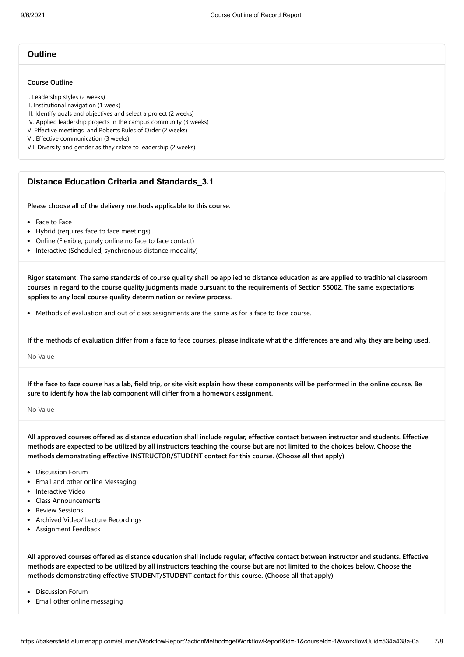#### **Outline**

#### **Course Outline**

I. Leadership styles (2 weeks)

II. Institutional navigation (1 week)

III. Identify goals and objectives and select a project (2 weeks)

IV. Applied leadership projects in the campus community (3 weeks)

V. Effective meetings and Roberts Rules of Order (2 weeks)

VI. Effective communication (3 weeks)

VII. Diversity and gender as they relate to leadership (2 weeks)

#### **Distance Education Criteria and Standards\_3.1**

**Please choose all of the delivery methods applicable to this course.**

- Face to Face
- Hybrid (requires face to face meetings)
- Online (Flexible, purely online no face to face contact)
- Interactive (Scheduled, synchronous distance modality)

**Rigor statement: The same standards of course quality shall be applied to distance education as are applied to traditional classroom courses in regard to the course quality judgments made pursuant to the requirements of Section 55002. The same expectations applies to any local course quality determination or review process.**

• Methods of evaluation and out of class assignments are the same as for a face to face course.

**If the methods of evaluation differ from a face to face courses, please indicate what the differences are and why they are being used.**

No Value

**If the face to face course has a lab, field trip, or site visit explain how these components will be performed in the online course. Be sure to identify how the lab component will differ from a homework assignment.**

No Value

**All approved courses offered as distance education shall include regular, effective contact between instructor and students. Effective methods are expected to be utilized by all instructors teaching the course but are not limited to the choices below. Choose the methods demonstrating effective INSTRUCTOR/STUDENT contact for this course. (Choose all that apply)**

- Discussion Forum
- Email and other online Messaging
- Interactive Video
- Class Announcements
- Review Sessions
- Archived Video/ Lecture Recordings
- Assignment Feedback

**All approved courses offered as distance education shall include regular, effective contact between instructor and students. Effective methods are expected to be utilized by all instructors teaching the course but are not limited to the choices below. Choose the methods demonstrating effective STUDENT/STUDENT contact for this course. (Choose all that apply)**

- Discussion Forum
- Email other online messaging